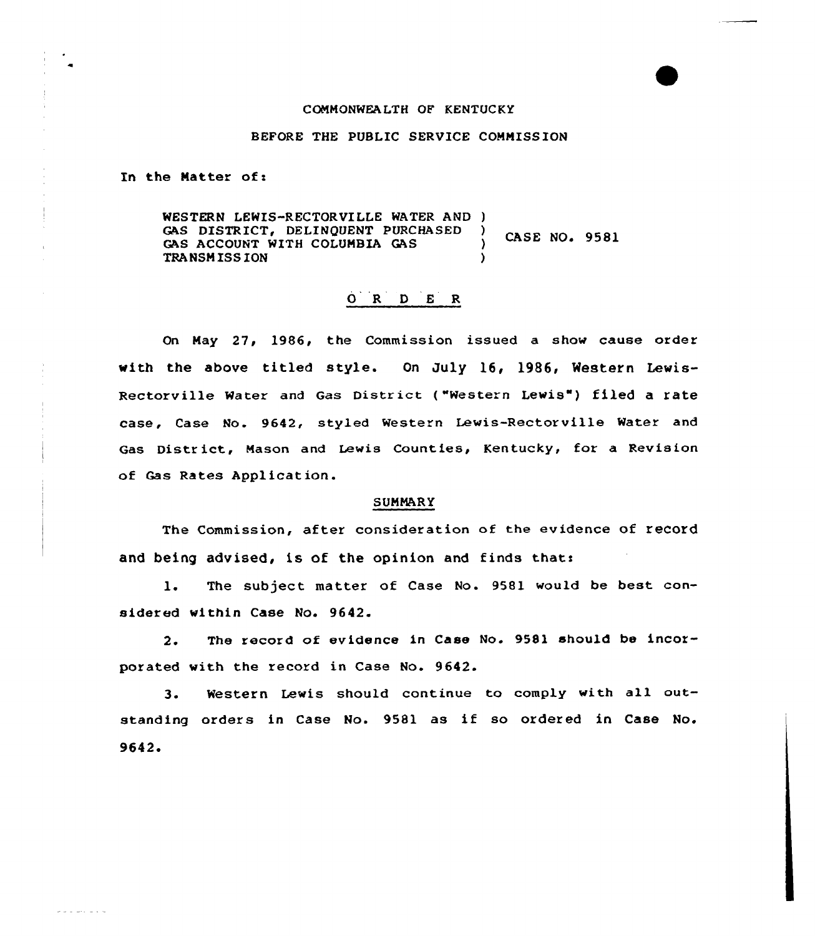## CONNONWEA LTH OF KENTUCKY

## BEFORE THE PUBLIC SERVICE CONNISS ION

In the Natter of <sup>x</sup>

WESTERN LEWIS-RECTORVILLE WATER AND )<br>GAS DISTRICT, DELINOUENT PURCHASED GAS DISTRICT, DELINQUENT PURCHASED **CASE NO. 9581** GAS ACCOUNT WITH COLUMBIA GAS TRANSN ISSION )

## 0 <sup>R</sup> <sup>D</sup> <sup>E</sup> <sup>R</sup>

On May 27, 1986, the Commission issued a show cause order with the above titled style. On July 16, 1986, Western Lewis-Rectorville Water and Gas District ("Western Lewis") filed a rate case, Case No. 9642, styled Western Lewis-Rectorville Water and Gas District, Mason and Lewis Counties, Kentucky, for a Revision of Gas Rates Application.

## **SUMMARY**

The Commission, after consideration of the evidence of record and being advised, is of the opinion and finds that:

1. The subject matter of Case No. 9581 would be best cansidered within Case No. 9642.

2. The record of evidence in Case No. 9581 should be incorporated with the record in Case No. 9642.

3. Western Lewis should continue to comply with all outstanding orders in Case No. 9581 as if so ordered in Case No. 9642 '